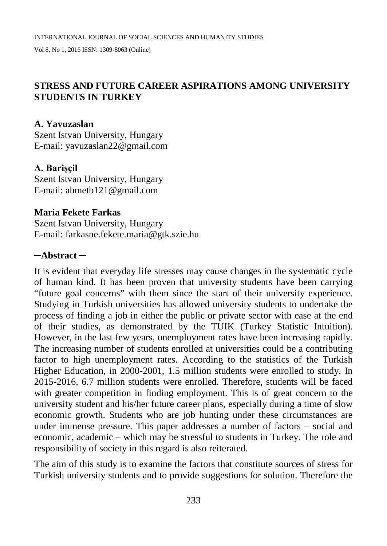## **STRESS AND FUTURE CAREER ASPIRATIONS AMONG UNIVERSITY STUDENTS IN TURKEY**

### **A. Yavuzaslan**

Szent Istvan University, Hungary E-mail: [yavuzaslan22@gmail.com](mailto:yavuzaslan22@gmail.com)

### **A. Barişçil**

Szent Istvan University, Hungary E-mail: [ahmetb121@gmail.com](mailto:ahmetb121@gmail.com)

### **Maria Fekete Farkas**

Szent Istvan University, Hungary E-mail: [farkasne.fekete.maria@gtk.szie.hu](mailto:farkasne.fekete.maria@gtk.szie.hu)

### **─Abstract ─**

It is evident that everyday life stresses may cause changes in the systematic cycle of human kind. It has been proven that university students have been carrying "future goal concerns" with them since the start of their university experience. Studying in Turkish universities has allowed university students to undertake the process of finding a job in either the public or private sector with ease at the end of their studies, as demonstrated by the TUIK (Turkey Statistic Intuition). However, in the last few years, unemployment rates have been increasing rapidly. The increasing number of students enrolled at universities could be a contributing factor to high unemployment rates. According to the statistics of the Turkish Higher Education, in 2000-2001, 1.5 million students were enrolled to study. In 2015-2016, 6.7 million students were enrolled. Therefore, students will be faced with greater competition in finding employment. This is of great concern to the university student and his/her future career plans, especially during a time of slow economic growth. Students who are job hunting under these circumstances are under immense pressure. This paper addresses a number of factors – social and economic, academic – which may be stressful to students in Turkey. The role and responsibility of society in this regard is also reiterated.

The aim of this study is to examine the factors that constitute sources of stress for Turkish university students and to provide suggestions for solution. Therefore the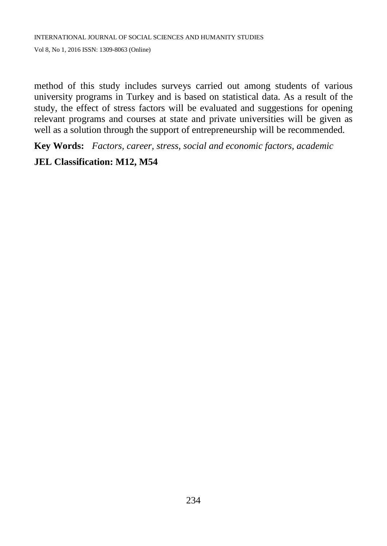method of this study includes surveys carried out among students of various university programs in Turkey and is based on statistical data. As a result of the study, the effect of stress factors will be evaluated and suggestions for opening relevant programs and courses at state and private universities will be given as well as a solution through the support of entrepreneurship will be recommended.

**Key Words:** *Factors, career, stress, social and economic factors, academic*

# **JEL Classification: M12, M54**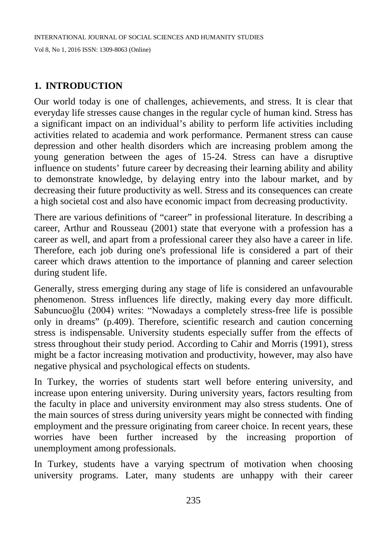## **1. INTRODUCTION**

Our world today is one of challenges, achievements, and stress. It is clear that everyday life stresses cause changes in the regular cycle of human kind. Stress has a significant impact on an individual's ability to perform life activities including activities related to academia and work performance. Permanent stress can cause depression and other health disorders which are increasing problem among the young generation between the ages of 15-24. Stress can have a disruptive influence on students' future career by decreasing their learning ability and ability to demonstrate knowledge, by delaying entry into the labour market, and by decreasing their future productivity as well. Stress and its consequences can create a high societal cost and also have economic impact from decreasing productivity.

There are various definitions of "career" in professional literature. In describing a career, Arthur and Rousseau (2001) state that everyone with a profession has a career as well, and apart from a professional career they also have a career in life. Therefore, each job during one's professional life is considered a part of their career which draws attention to the importance of planning and career selection during student life.

Generally, stress emerging during any stage of life is considered an unfavourable phenomenon. Stress influences life directly, making every day more difficult. Sabuncuoğlu (2004) writes: "Nowadays a completely stress-free life is possible only in dreams" (p.409). Therefore, scientific research and caution concerning stress is indispensable. University students especially suffer from the effects of stress throughout their study period. According to Cahir and Morris (1991), stress might be a factor increasing motivation and productivity, however, may also have negative physical and psychological effects on students.

In Turkey, the worries of students start well before entering university, and increase upon entering university. During university years, factors resulting from the faculty in place and university environment may also stress students. One of the main sources of stress during university years might be connected with finding employment and the pressure originating from career choice. In recent years, these worries have been further increased by the increasing proportion of unemployment among professionals.

In Turkey, students have a varying spectrum of motivation when choosing university programs. Later, many students are unhappy with their career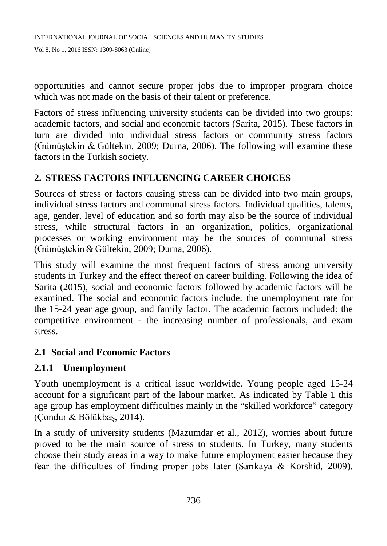opportunities and cannot secure proper jobs due to improper program choice which was not made on the basis of their talent or preference.

Factors of stress influencing university students can be divided into two groups: academic factors, and social and economic factors (Sarita, 2015). These factors in turn are divided into individual stress factors or community stress factors (Gümüştekin & Gültekin, 2009; Durna, 2006). The following will examine these factors in the Turkish society.

# **2. STRESS FACTORS INFLUENCING CAREER CHOICES**

Sources of stress or factors causing stress can be divided into two main groups, individual stress factors and communal stress factors. Individual qualities, talents, age, gender, level of education and so forth may also be the source of individual stress, while structural factors in an organization, politics, organizational processes or working environment may be the sources of communal stress (Gümüştekin & Gültekin, 2009; Durna, 2006).

This study will examine the most frequent factors of stress among university students in Turkey and the effect thereof on career building. Following the idea of Sarita (2015), social and economic factors followed by academic factors will be examined. The social and economic factors include: the unemployment rate for the 15-24 year age group, and family factor. The academic factors included: the competitive environment - the increasing number of professionals, and exam stress.

# **2.1 Social and Economic Factors**

### **2.1.1 Unemployment**

Youth unemployment is a critical issue worldwide. Young people aged 15-24 account for a significant part of the labour market. As indicated by Table 1 this age group has employment difficulties mainly in the "skilled workforce" category (Çondur & Bölükbaş, 2014).

In a study of university students (Mazumdar et al., 2012), worries about future proved to be the main source of stress to students. In Turkey, many students choose their study areas in a way to make future employment easier because they fear the difficulties of finding proper jobs later (Sarıkaya & Korshid, 2009).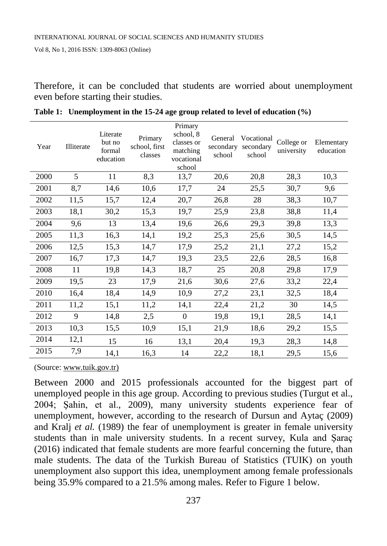Therefore, it can be concluded that students are worried about unemployment even before starting their studies.

| Year | Illiterate | Literate<br>but no<br>formal<br>education | Primary<br>school, first<br>classes | Primary<br>school, 8<br>classes or<br>matching<br>vocational<br>school | General<br>secondary<br>school | Vocational<br>secondary<br>school | College or<br>university | Elementary<br>education |
|------|------------|-------------------------------------------|-------------------------------------|------------------------------------------------------------------------|--------------------------------|-----------------------------------|--------------------------|-------------------------|
| 2000 | 5          | 11                                        | 8,3                                 | 13,7                                                                   | 20,6                           | 20,8                              | 28,3                     | 10,3                    |
| 2001 | 8,7        | 14,6                                      | 10,6                                | 17,7                                                                   | 24                             | 25,5                              | 30,7                     | 9,6                     |
| 2002 | 11,5       | 15,7                                      | 12,4                                | 20,7                                                                   | 26,8                           | 28                                | 38,3                     | 10,7                    |
| 2003 | 18,1       | 30,2                                      | 15,3                                | 19,7                                                                   | 25,9                           | 23,8                              | 38,8                     | 11,4                    |
| 2004 | 9,6        | 13                                        | 13,4                                | 19,6                                                                   | 26,6                           | 29,3                              | 39,8                     | 13,3                    |
| 2005 | 11,3       | 16,3                                      | 14,1                                | 19,2                                                                   | 25,3                           | 25,6                              | 30,5                     | 14,5                    |
| 2006 | 12,5       | 15,3                                      | 14,7                                | 17,9                                                                   | 25,2                           | 21,1                              | 27,2                     | 15,2                    |
| 2007 | 16,7       | 17,3                                      | 14,7                                | 19,3                                                                   | 23,5                           | 22,6                              | 28,5                     | 16,8                    |
| 2008 | 11         | 19,8                                      | 14,3                                | 18,7                                                                   | 25                             | 20,8                              | 29,8                     | 17,9                    |
| 2009 | 19,5       | 23                                        | 17,9                                | 21,6                                                                   | 30,6                           | 27,6                              | 33,2                     | 22,4                    |
| 2010 | 16,4       | 18,4                                      | 14,9                                | 10,9                                                                   | 27,2                           | 23,1                              | 32,5                     | 18,4                    |
| 2011 | 11,2       | 15,1                                      | 11,2                                | 14,1                                                                   | 22,4                           | 21,2                              | 30                       | 14,5                    |
| 2012 | 9          | 14,8                                      | 2,5                                 | $\mathbf{0}$                                                           | 19,8                           | 19,1                              | 28,5                     | 14,1                    |
| 2013 | 10,3       | 15,5                                      | 10,9                                | 15,1                                                                   | 21,9                           | 18,6                              | 29,2                     | 15,5                    |
| 2014 | 12,1       | 15                                        | 16                                  | 13,1                                                                   | 20,4                           | 19,3                              | 28,3                     | 14,8                    |
| 2015 | 7,9        | 14,1                                      | 16,3                                | 14                                                                     | 22,2                           | 18,1                              | 29,5                     | 15,6                    |

|  | Table 1: Unemployment in the 15-24 age group related to level of education $(\% )$ |  |  |  |  |  |  |
|--|------------------------------------------------------------------------------------|--|--|--|--|--|--|
|--|------------------------------------------------------------------------------------|--|--|--|--|--|--|

(Source: [www.tuik.gov.tr\)](http://www.tuik.gov.tr/)

Between 2000 and 2015 professionals accounted for the biggest part of unemployed people in this age group. According to previous studies (Turgut et al., 2004; Şahin, et al., 2009), many university students experience fear of unemployment, however, according to the research of Dursun and Aytaç (2009) and Kralj *et al.* (1989) the fear of unemployment is greater in female university students than in male university students. In a recent survey, Kula and Şaraç (2016) indicated that female students are more fearful concerning the future, than male students. The data of the Turkish Bureau of Statistics (TUIK) on youth unemployment also support this idea, unemployment among female professionals being 35.9% compared to a 21.5% among males. Refer to Figure 1 below.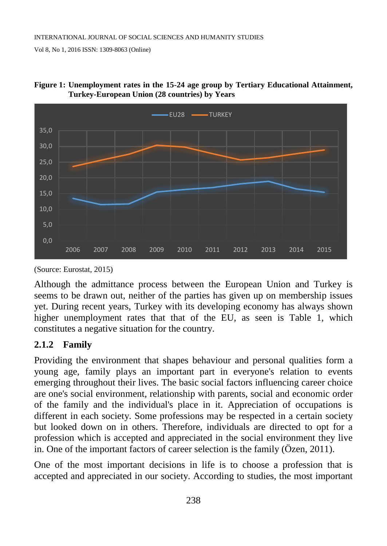

#### **Figure 1: Unemployment rates in the 15-24 age group by Tertiary Educational Attainment, Turkey-European Union (28 countries) by Years**

Although the admittance process between the European Union and Turkey is seems to be drawn out, neither of the parties has given up on membership issues yet. During recent years, Turkey with its developing economy has always shown higher unemployment rates that that of the EU, as seen is Table 1, which constitutes a negative situation for the country.

# **2.1.2 Family**

Providing the environment that shapes behaviour and personal qualities form a young age, family plays an important part in everyone's relation to events emerging throughout their lives. The basic social factors influencing career choice are one's social environment, relationship with parents, social and economic order of the family and the individual's place in it. Appreciation of occupations is different in each society. Some professions may be respected in a certain society but looked down on in others. Therefore, individuals are directed to opt for a profession which is accepted and appreciated in the social environment they live in. One of the important factors of career selection is the family (Özen, 2011).

One of the most important decisions in life is to choose a profession that is accepted and appreciated in our society. According to studies, the most important

<sup>(</sup>Source: Eurostat, 2015)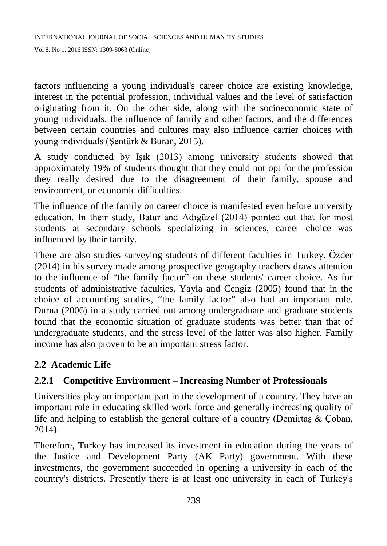factors influencing a young individual's career choice are existing knowledge, interest in the potential profession, individual values and the level of satisfaction originating from it. On the other side, along with the socioeconomic state of young individuals, the influence of family and other factors, and the differences between certain countries and cultures may also influence carrier choices with young individuals (Şentürk & Buran, 2015).

A study conducted by Işık (2013) among university students showed that approximately 19% of students thought that they could not opt for the profession they really desired due to the disagreement of their family, spouse and environment, or economic difficulties.

The influence of the family on career choice is manifested even before university education. In their study, Batur and Adıgüzel (2014) pointed out that for most students at secondary schools specializing in sciences, career choice was influenced by their family.

There are also studies surveying students of different faculties in Turkey. Özder (2014) in his survey made among prospective geography teachers draws attention to the influence of "the family factor" on these students' career choice. As for students of administrative faculties, Yayla and Cengiz (2005) found that in the choice of accounting studies, "the family factor" also had an important role. Durna (2006) in a study carried out among undergraduate and graduate students found that the economic situation of graduate students was better than that of undergraduate students, and the stress level of the latter was also higher. Family income has also proven to be an important stress factor.

# **2.2 Academic Life**

# **2.2.1 Competitive Environment – Increasing Number of Professionals**

Universities play an important part in the development of a country. They have an important role in educating skilled work force and generally increasing quality of life and helping to establish the general culture of a country (Demirtaş & Çoban, 2014).

Therefore, Turkey has increased its investment in education during the years of the Justice and Development Party (AK Party) government. With these investments, the government succeeded in opening a university in each of the country's districts. Presently there is at least one university in each of Turkey's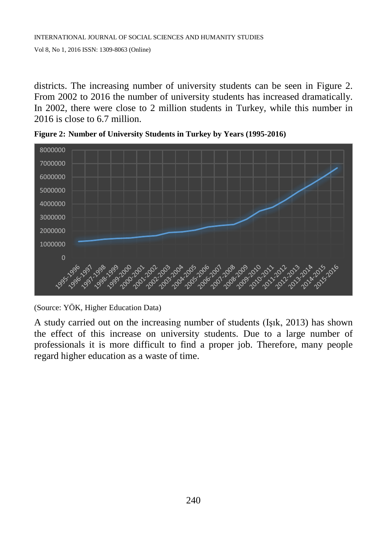districts. The increasing number of university students can be seen in Figure 2. From 2002 to 2016 the number of university students has increased dramatically. In 2002, there were close to 2 million students in Turkey, while this number in 2016 is close to 6.7 million.



**Figure 2: Number of University Students in Turkey by Years (1995-2016)**

(Source: YÖK, Higher Education Data)

A study carried out on the increasing number of students (Işık, 2013) has shown the effect of this increase on university students. Due to a large number of professionals it is more difficult to find a proper job. Therefore, many people regard higher education as a waste of time.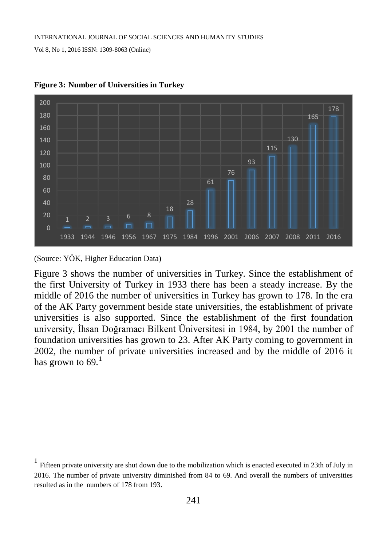

**Figure 3: Number of Universities in Turkey**

(Source: YÖK, Higher Education Data)

 $\overline{a}$ 

Figure 3 shows the number of universities in Turkey. Since the establishment of the first University of Turkey in 1933 there has been a steady increase. By the middle of 2016 the number of universities in Turkey has grown to 178. In the era of the AK Party government beside state universities, the establishment of private universities is also supported. Since the establishment of the first foundation university, İhsan Doğramacı Bilkent Üniversitesi in 1984, by 2001 the number of foundation universities has grown to 23. After AK Party coming to government in 2002, the number of private universities increased and by the middle of 2016 it has grown to 69. $^{\rm 1}$  $^{\rm 1}$  $^{\rm 1}$ 

<span id="page-8-0"></span><sup>1</sup> Fifteen private university are shut down due to the mobilization which is enacted executed in 23th of July in 2016. The number of private university diminished from 84 to 69. And overall the numbers of universities resulted as in the numbers of 178 from 193.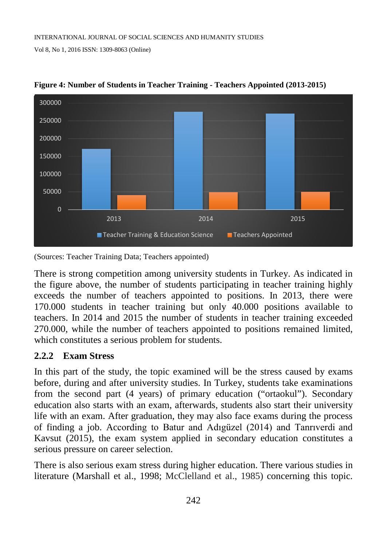



(Sources: Teacher Training Data; Teachers appointed)

There is strong competition among university students in Turkey. As indicated in the figure above, the number of students participating in teacher training highly exceeds the number of teachers appointed to positions. In 2013, there were 170.000 students in teacher training but only 40.000 positions available to teachers. In 2014 and 2015 the number of students in teacher training exceeded 270.000, while the number of teachers appointed to positions remained limited, which constitutes a serious problem for students.

### **2.2.2 Exam Stress**

In this part of the study, the topic examined will be the stress caused by exams before, during and after university studies. In Turkey, students take examinations from the second part (4 years) of primary education ("ortaokul"). Secondary education also starts with an exam, afterwards, students also start their university life with an exam. After graduation, they may also face exams during the process of finding a job. According to Batur and Adıgüzel (2014) and Tanrıverdi and Kavsut (2015), the exam system applied in secondary education constitutes a serious pressure on career selection.

There is also serious exam stress during higher education. There various studies in literature (Marshall et al., 1998; McClelland et al., 1985) concerning this topic.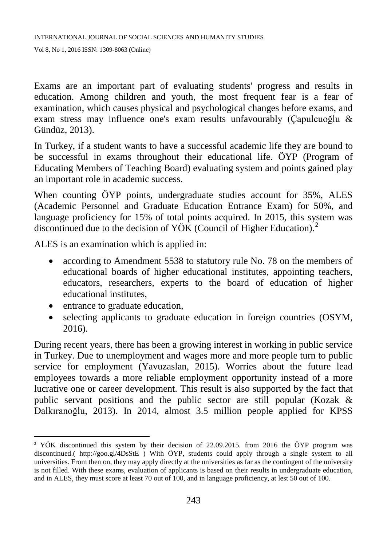Exams are an important part of evaluating students' progress and results in education. Among children and youth, the most frequent fear is a fear of examination, which causes physical and psychological changes before exams, and exam stress may influence one's exam results unfavourably (Çapulcuoğlu & Gündüz, 2013).

In Turkey, if a student wants to have a successful academic life they are bound to be successful in exams throughout their educational life. ÖYP (Program of Educating Members of Teaching Board) evaluating system and points gained play an important role in academic success.

When counting ÖYP points, undergraduate studies account for 35%, ALES (Academic Personnel and Graduate Education Entrance Exam) for 50%, and language proficiency for 15% of total points acquired. In 2015, this system was discontinued due to the decision of YÖK (Council of Higher Education).<sup>[2](#page-10-0)</sup>

ALES is an examination which is applied in:

- according to Amendment 5538 to statutory rule No. 78 on the members of educational boards of higher educational institutes, appointing teachers, educators, researchers, experts to the board of education of higher educational institutes,
- entrance to graduate education,
- selecting applicants to graduate education in foreign countries (OSYM, 2016).

During recent years, there has been a growing interest in working in public service in Turkey. Due to unemployment and wages more and more people turn to public service for employment (Yavuzaslan, 2015). Worries about the future lead employees towards a more reliable employment opportunity instead of a more lucrative one or career development. This result is also supported by the fact that public servant positions and the public sector are still popular (Kozak & Dalkıranoğlu, 2013). In 2014, almost 3.5 million people applied for KPSS

<span id="page-10-0"></span><sup>&</sup>lt;sup>2</sup> YÖK discontinued this system by their decision of 22.09.2015. from 2016 the ÖYP program was discontinued.( <http://goo.gl/4DsStE>) With ÖYP, students could apply through a single system to all universities. From then on, they may apply directly at the universities as far as the contingent of the university is not filled. With these exams, evaluation of applicants is based on their results in undergraduate education, and in ALES, they must score at least 70 out of 100, and in language proficiency, at lest 50 out of 100.  $\overline{a}$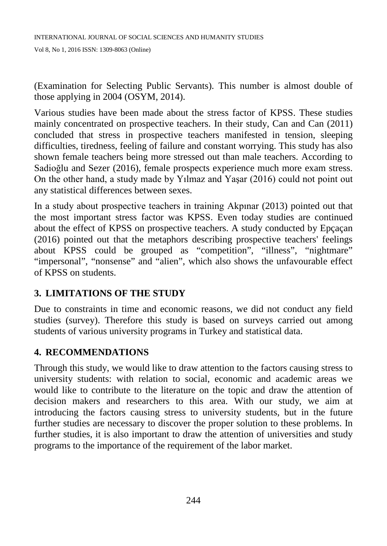INTERNATIONAL JOURNAL OF SOCIAL SCIENCES AND HUMANITY STUDIES

Vol 8, No 1, 2016 ISSN: 1309-8063 (Online)

(Examination for Selecting Public Servants). This number is almost double of those applying in 2004 (OSYM, 2014).

Various studies have been made about the stress factor of KPSS. These studies mainly concentrated on prospective teachers. In their study, Can and Can (2011) concluded that stress in prospective teachers manifested in tension, sleeping difficulties, tiredness, feeling of failure and constant worrying. This study has also shown female teachers being more stressed out than male teachers. According to Sadioğlu and Sezer (2016), female prospects experience much more exam stress. On the other hand, a study made by Yılmaz and Yaşar (2016) could not point out any statistical differences between sexes.

In a study about prospective teachers in training Akpınar (2013) pointed out that the most important stress factor was KPSS. Even today studies are continued about the effect of KPSS on prospective teachers. A study conducted by Epçaçan (2016) pointed out that the metaphors describing prospective teachers' feelings about KPSS could be grouped as "competition", "illness", "nightmare" "impersonal", "nonsense" and "alien", which also shows the unfavourable effect of KPSS on students.

# **3. LIMITATIONS OF THE STUDY**

Due to constraints in time and economic reasons, we did not conduct any field studies (survey). Therefore this study is based on surveys carried out among students of various university programs in Turkey and statistical data.

### **4. RECOMMENDATIONS**

Through this study, we would like to draw attention to the factors causing stress to university students: with relation to social, economic and academic areas we would like to contribute to the literature on the topic and draw the attention of decision makers and researchers to this area. With our study, we aim at introducing the factors causing stress to university students, but in the future further studies are necessary to discover the proper solution to these problems. In further studies, it is also important to draw the attention of universities and study programs to the importance of the requirement of the labor market.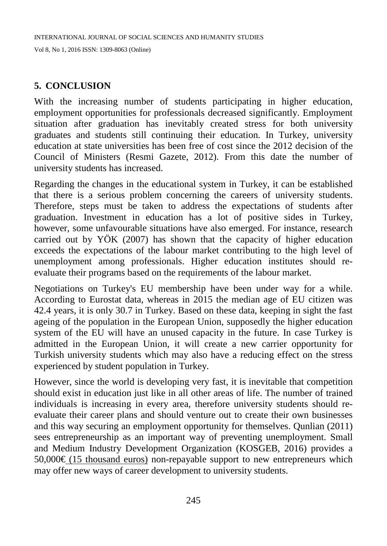### **5. CONCLUSION**

With the increasing number of students participating in higher education, employment opportunities for professionals decreased significantly. Employment situation after graduation has inevitably created stress for both university graduates and students still continuing their education. In Turkey, university education at state universities has been free of cost since the 2012 decision of the Council of Ministers (Resmi Gazete, 2012). From this date the number of university students has increased.

Regarding the changes in the educational system in Turkey, it can be established that there is a serious problem concerning the careers of university students. Therefore, steps must be taken to address the expectations of students after graduation. Investment in education has a lot of positive sides in Turkey, however, some unfavourable situations have also emerged. For instance, research carried out by YÖK (2007) has shown that the capacity of higher education exceeds the expectations of the labour market contributing to the high level of unemployment among professionals. Higher education institutes should reevaluate their programs based on the requirements of the labour market.

Negotiations on Turkey's EU membership have been under way for a while. According to Eurostat data, whereas in 2015 the median age of EU citizen was 42.4 years, it is only 30.7 in Turkey. Based on these data, keeping in sight the fast ageing of the population in the European Union, supposedly the higher education system of the EU will have an unused capacity in the future. In case Turkey is admitted in the European Union, it will create a new carrier opportunity for Turkish university students which may also have a reducing effect on the stress experienced by student population in Turkey.

However, since the world is developing very fast, it is inevitable that competition should exist in education just like in all other areas of life. The number of trained individuals is increasing in every area, therefore university students should reevaluate their career plans and should venture out to create their own businesses and this way securing an employment opportunity for themselves. Qunlian (2011) sees entrepreneurship as an important way of preventing unemployment. Small and Medium Industry Development Organization (KOSGEB, 2016) provides a 50,000€ (15 thousand euros) non-repayable support to new entrepreneurs which may offer new ways of career development to university students.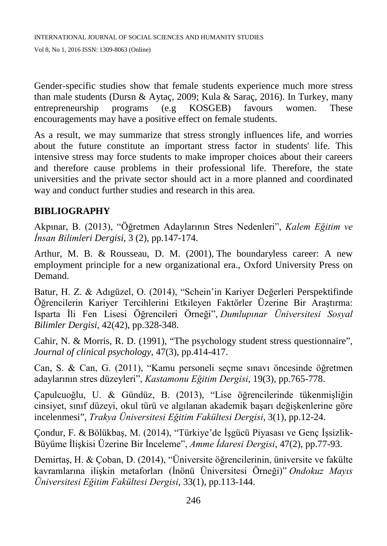Gender-specific studies show that female students experience much more stress than male students (Dursn & Aytaç, 2009; Kula & Saraç, 2016). In Turkey, many entrepreneurship programs (e.g KOSGEB) favours women. These encouragements may have a positive effect on female students.

As a result, we may summarize that stress strongly influences life, and worries about the future constitute an important stress factor in students' life. This intensive stress may force students to make improper choices about their careers and therefore cause problems in their professional life. Therefore, the state universities and the private sector should act in a more planned and coordinated way and conduct further studies and research in this area.

## **BIBLIOGRAPHY**

Akpınar, B. (2013), "Öğretmen Adaylarının Stres Nedenleri", *Kalem Eğitim ve İnsan Bilimleri Dergisi*, 3 (2), pp.147-174.

Arthur, M. B. & Rousseau, D. M. (2001), The boundaryless career: A new employment principle for a new organizational era., Oxford University Press on Demand.

Batur, H. Z. & Adıgüzel, O. (2014), "Schein'in Kariyer Değerleri Perspektifinde Öğrencilerin Kariyer Tercihlerini Etkileyen Faktörler Üzerine Bir Araştırma: Isparta İli Fen Lisesi Öğrencileri Örneği", *Dumlupınar Üniversitesi Sosyal Bilimler Dergisi*, 42(42), pp.328-348.

Cahir, N. & Morris, R. D. (1991), "The psychology student stress questionnaire", *Journal of clinical psychology*, 47(3), pp.414-417.

Can, S. & Can, G. (2011), "Kamu personeli seçme sınavı öncesinde öğretmen adaylarının stres düzeyleri", *Kastamonu Eğitim Dergisi*, 19(3), pp.765-778.

Çapulcuoğlu, U. & Gündüz, B. (2013), "Lise öğrencilerinde tükenmişliğin cinsiyet, sınıf düzeyi, okul türü ve algılanan akademik başarı değişkenlerine göre incelenmesi", *Trakya Üniversitesi Eğitim Fakültesi Dergisi*, 3(1), pp.12-24.

Çondur, F. & Bölükbaş, M. (2014), "Türkiye'de İşgücü Piyasası ve Genç İşsizlik-Büyüme İlişkisi Üzerine Bir İnceleme", *Amme İdaresi Dergisi*, 47(2), pp.77-93.

Demirtaş, H. & Çoban, D. (2014), "Üniversite öğrencilerinin, üniversite ve fakülte kavramlarına ilişkin metaforları (İnönü Üniversitesi Örneği)" *Ondokuz Mayıs Üniversitesi Eğitim Fakültesi Dergisi*, 33(1), pp.113-144.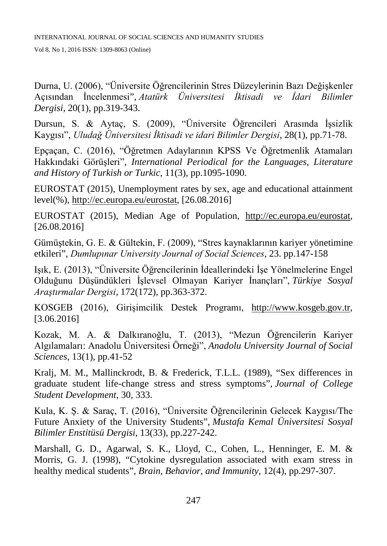Durna, U. (2006), "Üniversite Öğrencilerinin Stres Düzeylerinin Bazı Değişkenler Açısından İncelenmesi", *Atatürk Üniversitesi İktisadi ve İdari Bilimler Dergisi*, 20(1), pp.319-343.

Dursun, S. & Aytaç, S. (2009), "Üniversite Öğrencileri Arasında İşsizlik Kaygısı", *Uludağ Üniversitesi İktisadi ve idari Bilimler Dergisi*, 28(1), pp.71-78.

Epçaçan, C. (2016), "Öğretmen Adaylarının KPSS Ve Öğretmenlik Atamaları Hakkındaki Görüşleri", *International Periodical for the Languages, Literature and History of Turkish or Turkic*, 11(3), pp.1095-1090.

EUROSTAT (2015), Unemployment rates by sex, age and educational attainment level(%), [http://ec.europa.eu/eurostat,](http://ec.europa.eu/eurostat) [26.08.2016]

EUROSTAT (2015), Median Age of Population, [http://ec.europa.eu/eurostat,](http://ec.europa.eu/eurostat) [26.08.2016]

Gümüştekin, G. E. & Gültekin, F. (2009), "Stres kaynaklarının kariyer yönetimine etkileri", *Dumlupınar University Journal of Social Sciences*, 23. pp.147-158

Işık, E. (2013), "Üniversite Öğrencilerinin İdeallerindeki İşe Yönelmelerine Engel Olduğunu Düşündükleri İşlevsel Olmayan Kariyer İnançları", *Türkiye Sosyal Araştırmalar Dergisi*, 172(172), pp.363-372.

KOSGEB (2016), Girişimcilik Destek Programı, [http://www.kosgeb.gov.tr,](http://www.kosgeb.gov.tr/) [3.06.2016]

Kozak, M. A. & Dalkıranoğlu, T. (2013), "Mezun Öğrencilerin Kariyer Algılamaları: Anadolu Üniversitesi Örneği", *Anadolu University Journal of Social Sciences*, 13(1), pp.41-52

Kralj, M. M., Mallinckrodt, B. & Frederick, T.L.L. (1989), "Sex differences in graduate student life-change stress and stress symptoms", *Journal of College Student Development*, 30, 333.

Kula, K. Ş. & Saraç, T. (2016), "Üniversite Öğrencilerinin Gelecek Kaygısı/The Future Anxiety of the University Students", *Mustafa Kemal Üniversitesi Sosyal Bilimler Enstitüsü Dergisi*, 13(33), pp.227-242.

Marshall, G. D., Agarwal, S. K., Lloyd, C., Cohen, L., Henninger, E. M. & Morris, G. J. (1998), "Cytokine dysregulation associated with exam stress in healthy medical students", *Brain, Behavior, and Immunity*, 12(4), pp.297-307.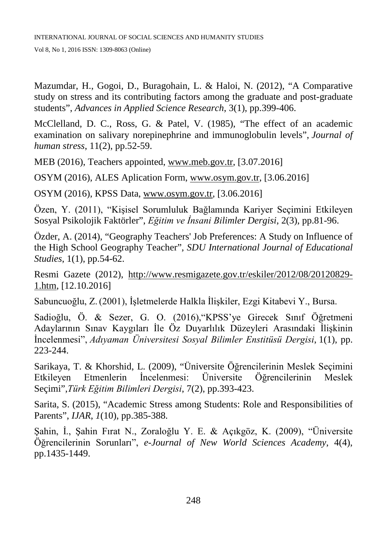Mazumdar, H., Gogoi, D., Buragohain, L. & Haloi, N. (2012), "A Comparative study on stress and its contributing factors among the graduate and post-graduate students", *Advances in Applied Science Research*, 3(1), pp.399-406.

McClelland, D. C., Ross, G. & Patel, V. (1985), "The effect of an academic examination on salivary norepinephrine and immunoglobulin levels", *Journal of human stress*, 11(2), pp.52-59.

MEB (2016), Teachers appointed, [www.meb.gov.tr,](http://www.meb.gov.tr/) [3.07.2016]

OSYM (2016), ALES Aplication Form, [www.osym.gov.tr,](http://www.osym.gov.tr/) [3.06.2016]

OSYM (2016), KPSS Data, [www.osym.gov.tr,](http://www.osym.gov.tr/) [3.06.2016]

Özen, Y. (2011), "Kişisel Sorumluluk Bağlamında Kariyer Seçimini Etkileyen Sosyal Psikolojik Faktörler", *Eğitim ve İnsani Bilimler Dergisi*, 2(3), pp.81-96.

Özder, A. (2014), "Geography Teachers' Job Preferences: A Study on Influence of the High School Geography Teacher", *SDU International Journal of Educational Studies*, 1(1), pp.54-62.

Resmi Gazete (2012), [http://www.resmigazete.gov.tr/eskiler/2012/08/20120829-](http://www.resmigazete.gov.tr/eskiler/2012/08/20120829-1.htm) [1.htm,](http://www.resmigazete.gov.tr/eskiler/2012/08/20120829-1.htm) [12.10.2016]

Sabuncuoğlu, Z. (2001), İşletmelerde Halkla İlişkiler, Ezgi Kitabevi Y., Bursa.

Sadioğlu, Ö. & Sezer, G. O. (2016),"KPSS'ye Girecek Sınıf Öğretmeni Adaylarının Sınav Kaygıları İle Öz Duyarlılık Düzeyleri Arasındaki İlişkinin İncelenmesi", *Adıyaman Üniversitesi Sosyal Bilimler Enstitüsü Dergisi*, 1(1), pp. 223-244.

Sarikaya, T. & Khorshid, L. (2009), "Üniversite Öğrencilerinin Meslek Seçimini Etkileyen Etmenlerin İncelenmesi: Üniversite Öğrencilerinin Meslek Seçimi",*Türk Eğitim Bilimleri Dergisi*, 7(2), pp.393-423.

Sarita, S. (2015), "Academic Stress among Students: Role and Responsibilities of Parents", *IJAR*, *1*(10), pp.385-388.

Şahin, İ., Şahin Fırat N., Zoraloğlu Y. E. & Açıkgöz, K. (2009), "Üniversite Öğrencilerinin Sorunları", *e-Journal of New World Sciences Academy*, 4(4), pp.1435-1449.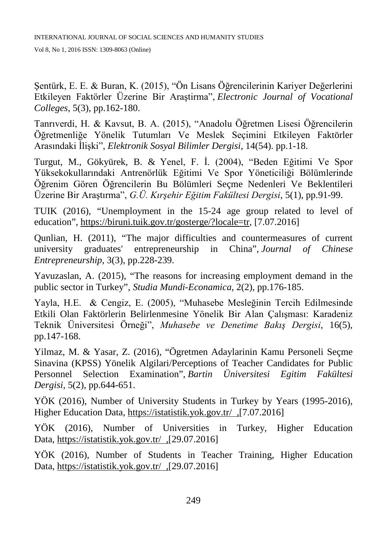Şentürk, E. E. & Buran, K. (2015), "Ön Lisans Öğrencilerinin Kariyer Değerlerini Etkileyen Faktörler Üzerine Bir Araştirma", *Electronic Journal of Vocational Colleges*, 5(3), pp.162-180.

Tanrıverdi, H. & Kavsut, B. A. (2015), "Anadolu Öğretmen Lisesi Öğrencilerin Öğretmenliğe Yönelik Tutumları Ve Meslek Seçimini Etkileyen Faktörler Arasındaki İlişki", *Elektronik Sosyal Bilimler Dergisi*, 14(54). pp.1-18.

Turgut, M., Gökyürek, B. & Yenel, F. İ. (2004), "Beden Eğitimi Ve Spor Yüksekokullarındaki Antrenörlük Eğitimi Ve Spor Yöneticiliği Bölümlerinde Öğrenim Gören Öğrencilerin Bu Bölümleri Seçme Nedenleri Ve Beklentileri Üzerine Bir Araştırma", *G.Ü. Kırşehir Eğitim Fakültesi Dergisi*, 5(1), pp.91-99.

TUIK (2016), "Unemployment in the 15-24 age group related to level of education", [https://biruni.tuik.gov.tr/gosterge/?locale=tr,](https://biruni.tuik.gov.tr/gosterge/?locale=tr) [7.07.2016]

Qunlian, H. (2011), "The major difficulties and countermeasures of current university graduates' entrepreneurship in China", *Journal of Chinese Entrepreneurship*, 3(3), pp.228-239.

Yavuzaslan, A. (2015), "The reasons for increasing employment demand in the public sector in Turkey", *Studia Mundi-Econamica*, 2(2), pp.176-185.

Yayla, H.E. & Cengiz, E. (2005), "Muhasebe Mesleğinin Tercih Edilmesinde Etkili Olan Faktörlerin Belirlenmesine Yönelik Bir Alan Çalışması: Karadeniz Teknik Üniversitesi Örneği", *Muhasebe ve Denetime Bakış Dergisi*, 16(5), pp.147-168.

Yilmaz, M. & Yasar, Z. (2016), "Ögretmen Adaylarinin Kamu Personeli Seçme Sinavina (KPSS) Yönelik Algilari/Perceptions of Teacher Candidates for Public Personnel Selection Examination", *Bartin Üniversitesi Egitim Fakültesi Dergisi*, 5(2), pp.644-651.

YÖK (2016), Number of University Students in Turkey by Years (1995-2016), Higher Education Data,<https://istatistik.yok.gov.tr/>,[7.07.2016]

YÖK (2016), Number of Universities in Turkey, Higher Education Data,<https://istatistik.yok.gov.tr/>,[29.07.2016]

YÖK (2016), Number of Students in Teacher Training, Higher Education Data,<https://istatistik.yok.gov.tr/>,[29.07.2016]